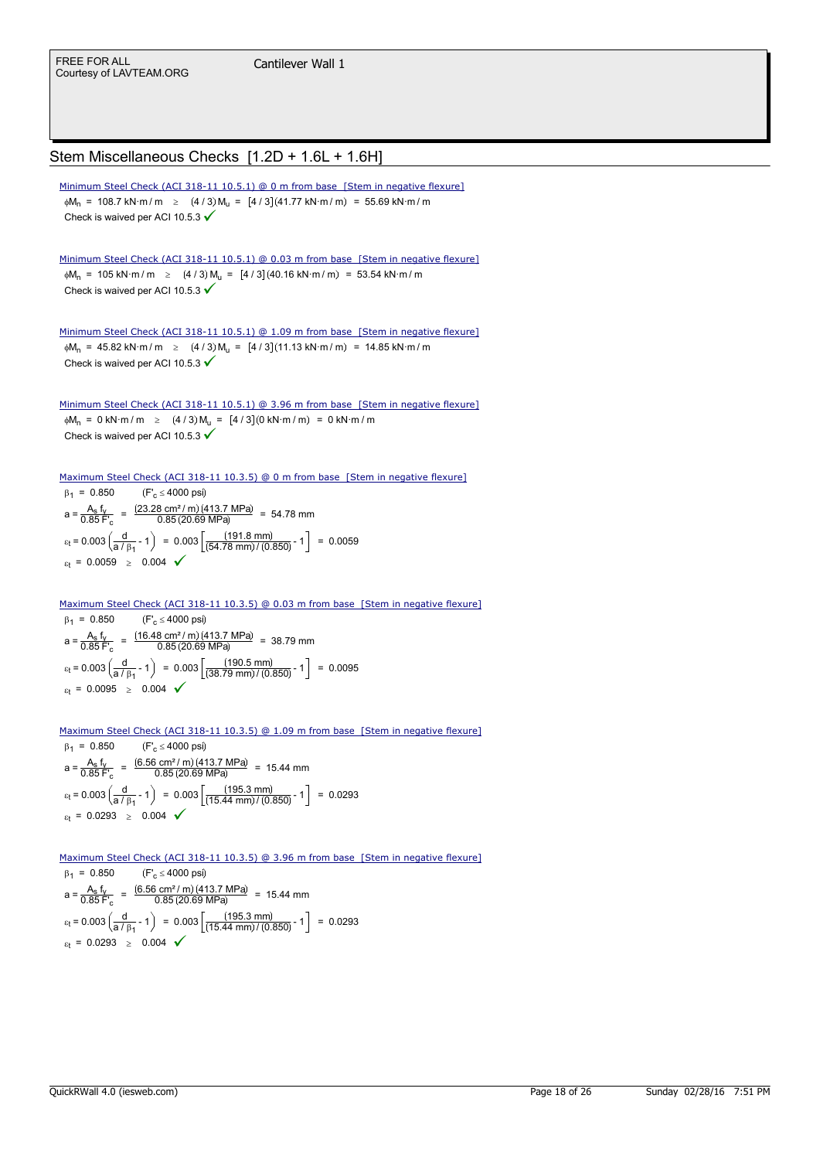## Stem Miscellaneous Checks [1.2D + 1.6L + 1.6H]

 $\phi M_n$  = 108.7 kN·m/m  $\geq$  (4/3)  $M_u$  = [4/3] (41.77 kN·m/m) = 55.69 kN·m/m Check is waived per ACI 10.5.3  $\checkmark$ Minimum Steel Check (ACI 318-11 10.5.1) @ 0 m from base [Stem in negative flexure]

 $\phi M_n$  = 105 kN·m/m  $\geq$  (4/3)  $M_n = [4/3] (40.16 \text{ kN} \cdot \text{m/m}) = 53.54 \text{ kN} \cdot \text{m/m}$ Check is waived per ACI 10.5.3  $\checkmark$ Minimum Steel Check (ACI 318-11 10.5.1) @ 0.03 m from base [Stem in negative flexure]

 $\phi$ M<sub>n</sub> = 45.82 kN·m/m  $\geq$  (4/3) M<sub>u</sub> = [4/3] (11.13 kN·m/m) = 14.85 kN·m/m Check is waived per ACI 10.5.3  $\checkmark$ Minimum Steel Check (ACI 318-11 10.5.1) @ 1.09 m from base [Stem in negative flexure]

 $\phi M_n = 0$  kN·m / m  $\geq (4/3) M_n = [4/3] (0 \text{ kN·m/m}) = 0 \text{ kN·m/m}$ Check is waived per ACI 10.5.3  $\checkmark$ Minimum Steel Check (ACI 318-11 10.5.1) @ 3.96 m from base [Stem in negative flexure]

 $\beta_1 = 0.850$  (F'<sub>c</sub>  $\leq$  4000 psi)  $a = \frac{A_s}{0.95} \frac{f_y}{f}$  $=$   $\frac{A_s f_v}{0.85 F_c}$  =  $\frac{(23.28 \text{ cm}^2/\text{m})(413.7 \text{ MPa})}{0.85 (20.69 \text{ MPa})}$  = 54.78 mm  $\varepsilon_t$  = 0.003  $\left(\frac{d}{a / \beta_1}$  ?1  $\right)$  = 0.003  $\left(\frac{(191.8 \text{ mm})}{(54.78 \text{ mm}) / (0.850)}$  ?1  $\right)$  = 0.0059  $\varepsilon_t = 0.0059 \ge 0.004$   $\checkmark$ Maximum Steel Check (ACI 318-11 10.3.5) @ 0 m from base [Stem in negative flexure]

 $\beta_1 = 0.850$  (F'<sub>c</sub>  $\leq$  4000 psi)  $a = \frac{A_s}{0.85}f_y$  $\frac{A_s f_V}{0.85 F_c}$  =  $\frac{(16.48 \text{ cm}^2/\text{m})(413.7 \text{ MPa})}{0.85 (20.69 \text{ MPa})}$  = 38.79 mm  $\varepsilon_t$  = 0.003  $\left(\frac{d}{a/\beta_1}$  ?1  $\right)$  = 0.003  $\left[\frac{(190.5 \text{ mm})}{(38.79 \text{ mm})/(0.850)}$  ?1  $\right]$  = 0.0095  $\varepsilon_t = 0.0095 \ge 0.004$ Maximum Steel Check (ACI 318-11 10.3.5) @ 0.03 m from base [Stem in negative flexure]

Maximum Steel Check (ACI 318-11 10.3.5) @ 1.09 m from base [Stem in negative flexure]

 $\beta_1 = 0.850$  (F'<sub>c</sub>  $\leq$  4000 psi)  $a = \frac{A_s}{0.95} \frac{f_y}{f}$  $\frac{A_s f_y}{0.85 F_c}$  =  $\frac{(6.56 \text{ cm}^2/\text{m})(413.7 \text{ MPa})}{0.85(20.69 \text{ MPa})}$  = 15.44 mm  $\varepsilon_t$  = 0.003  $\left(\frac{d}{a/\beta_1}$  ?1  $\right)$  = 0.003  $\left(\frac{(195.3 \text{ mm})}{(15.44 \text{ mm})/(0.850)}$  ?1  $\right)$  = 0.0293  $\varepsilon_t = 0.0293 \ge 0.004$   $\checkmark$ 

Maximum Steel Check (ACI 318-11 10.3.5) @ 3.96 m from base [Stem in negative flexure]

 $B_1 = 0.850$  (F'<sub>c</sub>  $\leq$  4000 psi)  $a = \frac{A_s}{0.85} \frac{f_y}{f}$  $A = \frac{A_s f_v}{0.85 F_c} = \frac{(6.56 \text{ cm}^2/\text{m})(413.7 \text{ MPa})}{0.85 (20.69 \text{ MPa})} = 15.44 \text{ mm}$  $\varepsilon_t$  = 0.003  $\left(\frac{d}{a/\beta_1}$  ?1  $\right)$  = 0.003  $\left[\frac{(195.3 \text{ mm})}{(15.44 \text{ mm})/(0.850)}$  ?1  $\right]$  = 0.0293  $\varepsilon_t = 0.0293 \ge 0.004$   $\checkmark$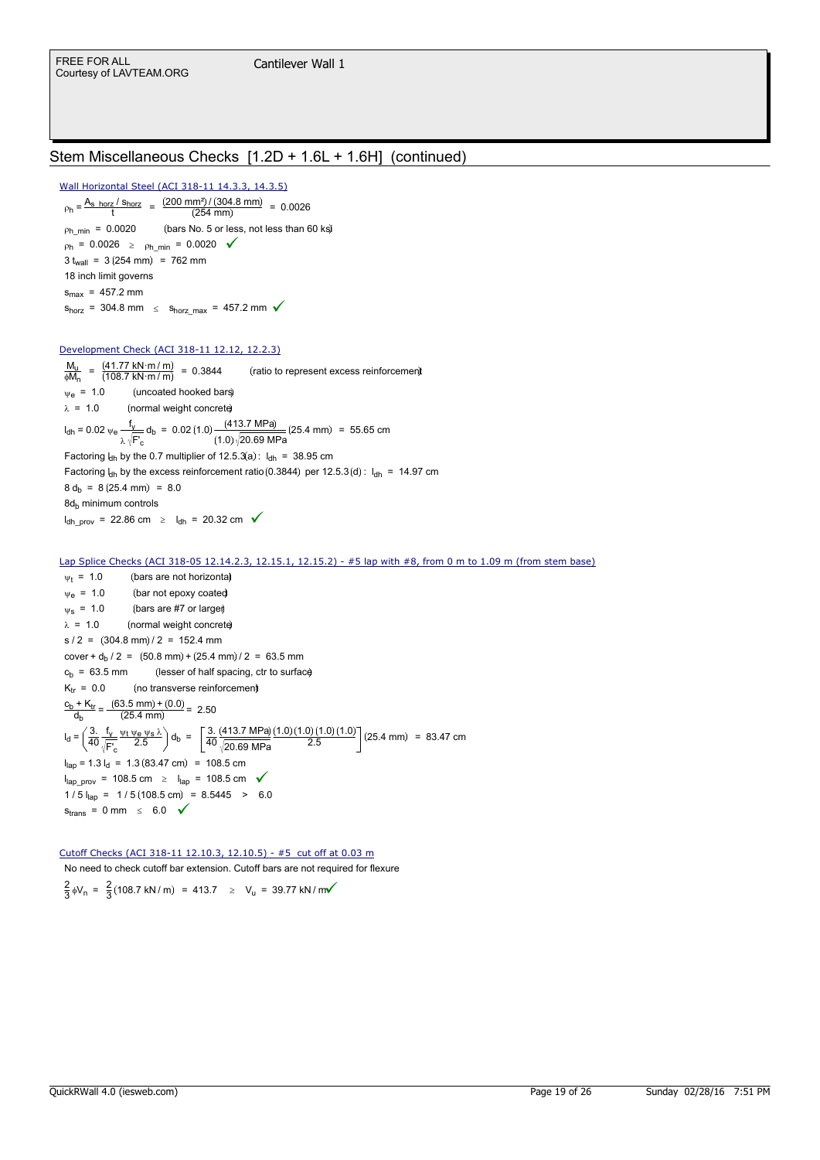## Stem Miscellaneous Checks [1.2D + 1.6L + 1.6H] (continued)

 $\rho_h = \frac{A_{\rm s\_horz} / s_{\rm horz}}{t} = \frac{(200 \text{ mm}^2) / (304.8 \text{ mm})}{(254 \text{ mm})} = 0.0026$  $p_{h\_min}$  = 0.0020 (bars No. 5 or less, not less than 60 ks)  $p_h = 0.0026 \ge p_{h\_min} = 0.0020$  $3 t_{wall} = 3 (254 mm) = 762 mm$ 18 inch limit governs  $s_{\text{max}} = 457.2 \text{ mm}$  $s_{\text{horz}} = 304.8 \text{ mm } \leq s_{\text{horz}} - 457.2 \text{ mm } \sqrt{ }$ Wall Horizontal Steel (ACI 318-11 14.3.3, 14.3.5)

### Development Check (ACI 318-11 12.12, 12.2.3)

 $M_{\mathsf{u}}$  $\frac{M_{\rm u}}{\phi M_{\rm n}} = \frac{(41.77 \text{ kN} \cdot \text{m} / \text{m})}{(108.7 \text{ kN} \cdot \text{m} / \text{m})}$ 108.7 kN·m / m  $\frac{M_{\text{u}}}{\phi M_{\text{n}}} = \frac{(41.77 \text{ kN} \cdot \text{m} / \text{m})}{(108.7 \text{ kN} \cdot \text{m} / \text{m})} = 0.3844$  (ratio to represent excess reinforcement  $\Psi_{\rm e}$  = 1.0 (uncoated hooked bars)  $\lambda = 1.0$  (normal weight concrete)  $I_{\text{dh}}$  = 0.02  $\psi_e \frac{f_y}{f}$ =  $0.02 \, v_e \frac{f_V}{\lambda \sqrt{F_c}} d_b$  =  $0.02 (1.0) \frac{(413.7 \, MPa)}{(1.0) \sqrt{20.69 \, MPa}} (25.4 \, mm)$  = 55.65 cm Factoring  $l_{dh}$  by the 0.7 multiplier of 12.5.3(a):  $l_{dh}$  = 38.95 cm Factoring  $l_{dh}$  by the excess reinforcement ratio (0.3844) per 12.5.3 (d) :  $l_{dh}$  = 14.97 cm  $8 d_b = 8 (25.4 \text{ mm}) = 8.0$ 8d<sub>b</sub> minimum controls  $I_{dh\_prov}$  = 22.86 cm  $\geq I_{dh}$  = 20.32 cm  $\checkmark$ 

### Lap Splice Checks (ACI 318-05 12.14.2.3, 12.15.1, 12.15.2) - #5 lap with #8, from 0 m to 1.09 m (from stem base)

 $\Psi_t$  = 1.0 (bars are not horizonta)  $\Psi_{\rm e}$  = 1.0 (bar not epoxy coated  $\psi$ s = 1.0 (bars are #7 or larger)  $\lambda = 1.0$  (normal weight concrete)  $s / 2 = (304.8 \text{ mm}) / 2 = 152.4 \text{ mm}$ cover +  $d_h$  / 2 = (50.8 mm) + (25.4 mm) / 2 = 63.5 mm  $c<sub>b</sub> = 63.5$  mm (lesser of half spacing, ctr to surface)  $K_{tr} = 0.0$  (no transverse reinforcement) <u>c<sub>b</sub> + K<sub>tr</sub></u> db  $\frac{(63.5 \text{ mm}) + (0.0)}{(25.4 \text{ mm})} = 2.50$  $I_d = \frac{3}{40}$  $rac{3.}{40}$  $rac{f_y}{\sqrt{F}}$ F'<sup>c</sup>  $\frac{\Psi t \Psi e \Psi s \lambda}{2.5} d_b = \frac{3.4}{40}$ 40 413.7 MPa 20.69 MPa  $=\left(\frac{3}{40}\right)\frac{v_1v_2v_3\lambda}{\sqrt{v_1}}\bigg) d_b = \left(\frac{3}{40}\right)\frac{(413.7 MPa)(1.0)(1.0)(1.0)(1.0)}{2.5}\bigg(25.4 mm) = 83.47 cm$ l<sub>lap</sub> = 1.3 l<sub>d</sub> = 1.3 (83.47 cm) = 108.5 cm l<sub>lap\_prov</sub> = 108.5 cm ≥ l<sub>lap</sub> = 108.5 cm  $\checkmark$  $1/5$   $I_{\text{lab}}$  = 1/5 (108.5 cm) = 8.5445 > 6.0  $s_{trans} = 0$  mm  $\leq 6.0$   $\checkmark$ 

### Cutoff Checks (ACI 318-11 12.10.3, 12.10.5) - #5 cut off at 0.03 m

No need to check cutoff bar extension. Cutoff bars are not required for flexure

2  $\frac{2}{3}$   $\phi$ V<sub>n</sub> =  $\frac{2}{3}$  $=$   $\frac{2}{3}$ (108.7 kN/m) = 413.7  $\geq$  V<sub>u</sub> = 39.77 kN/m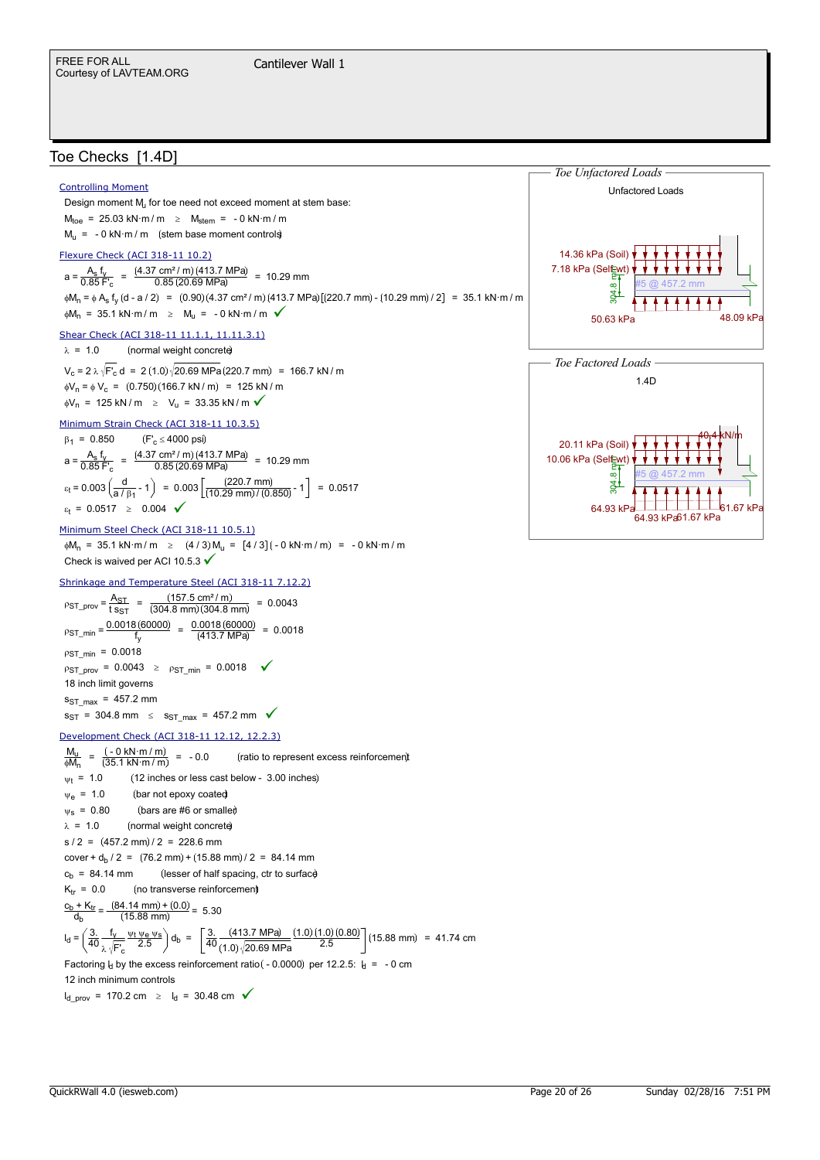## Toe Checks [1.4D]

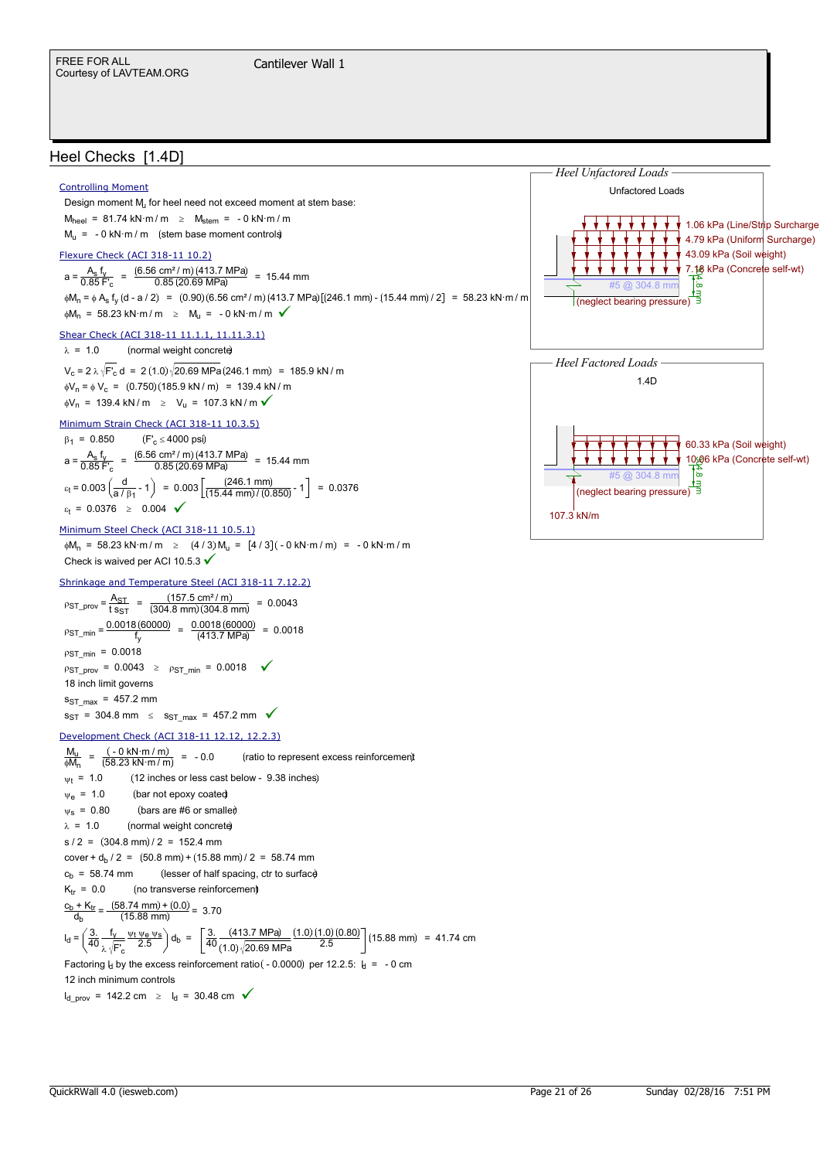## Heel Checks [1.4D]



 $I_{\rm d\_prov}$  = 142.2 cm  $\geq I_{\rm d}$  = 30.48 cm  $\checkmark$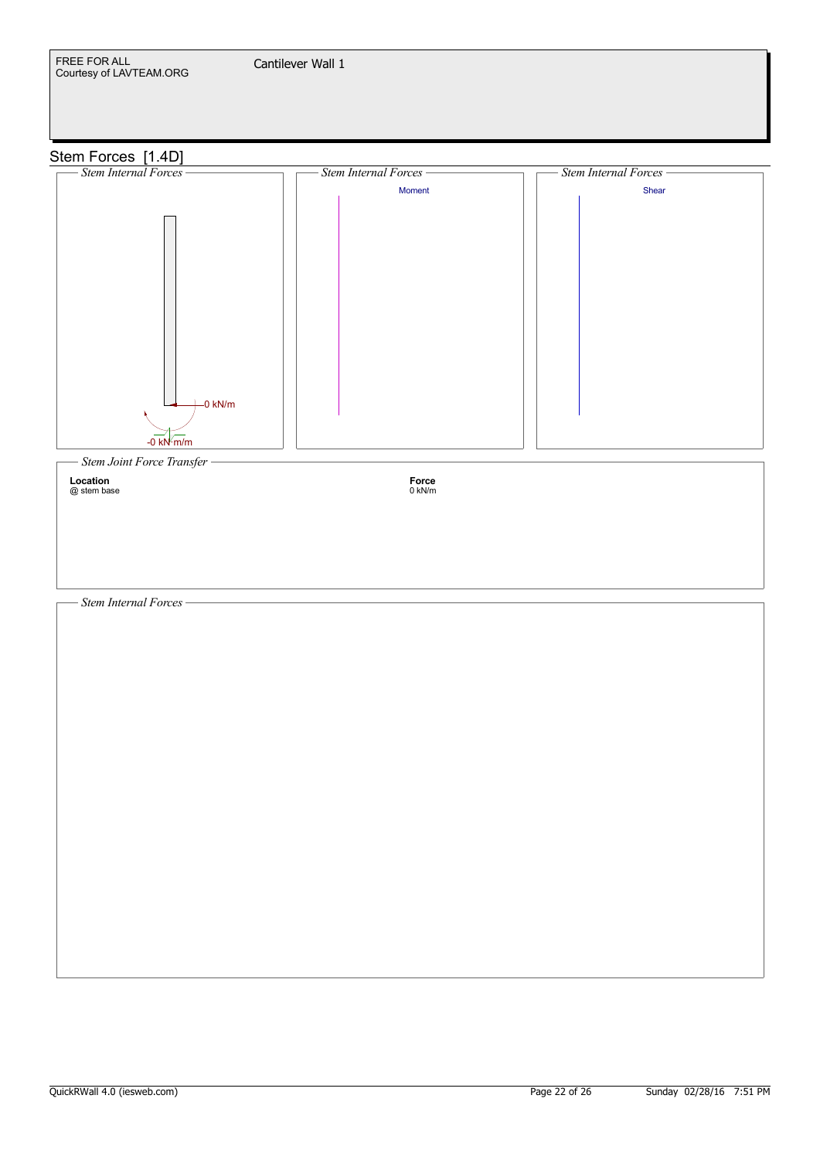

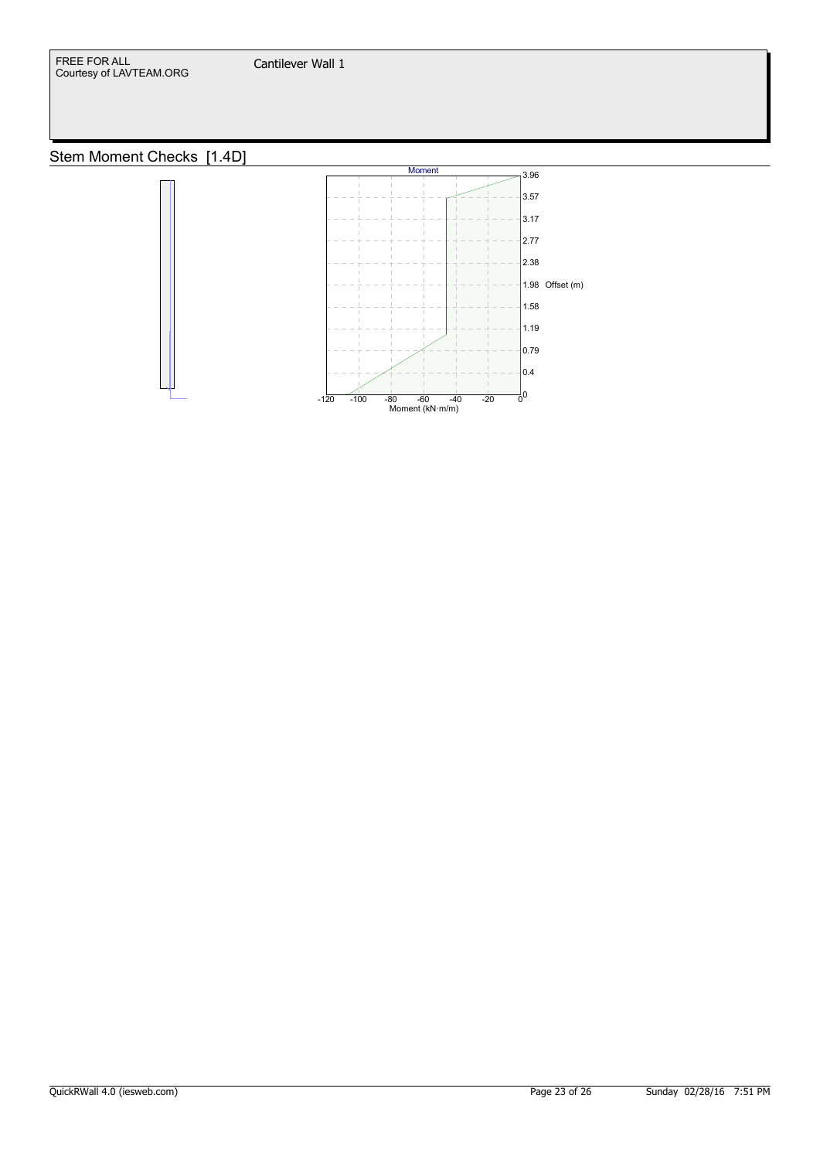

# Stem Moment Checks [1.4D]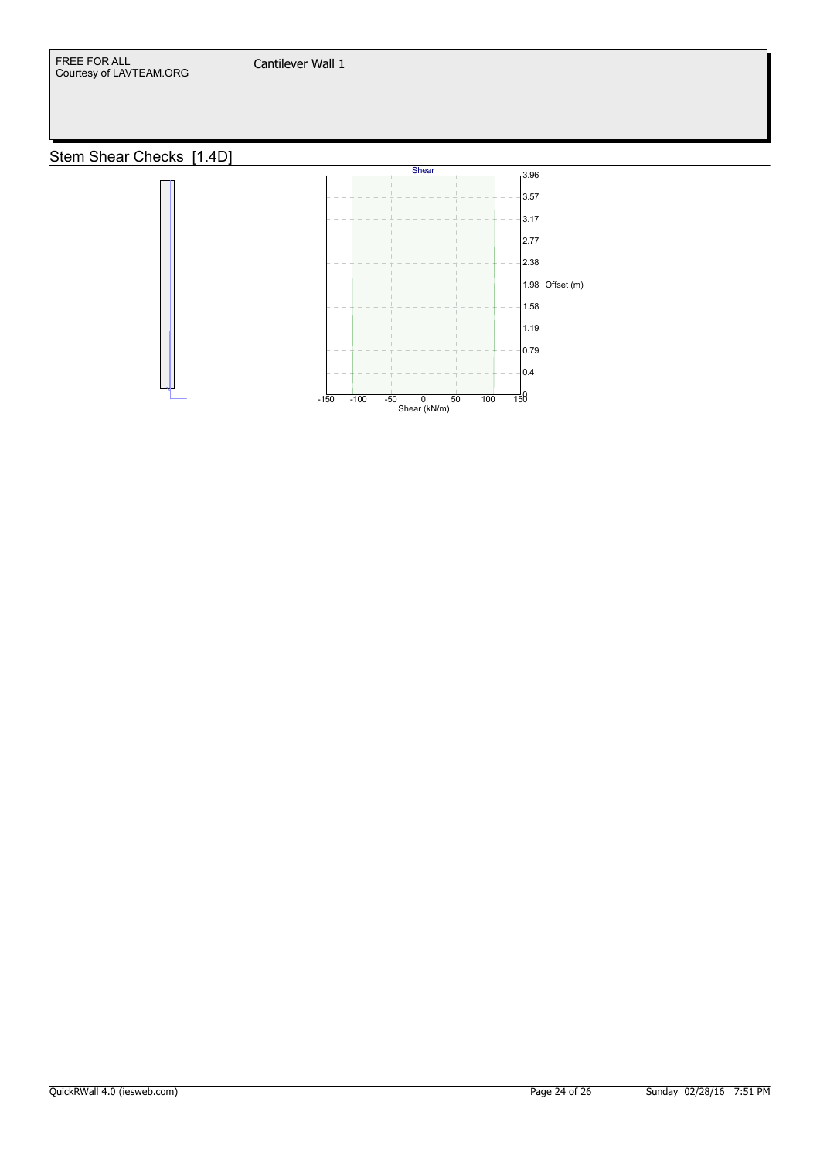

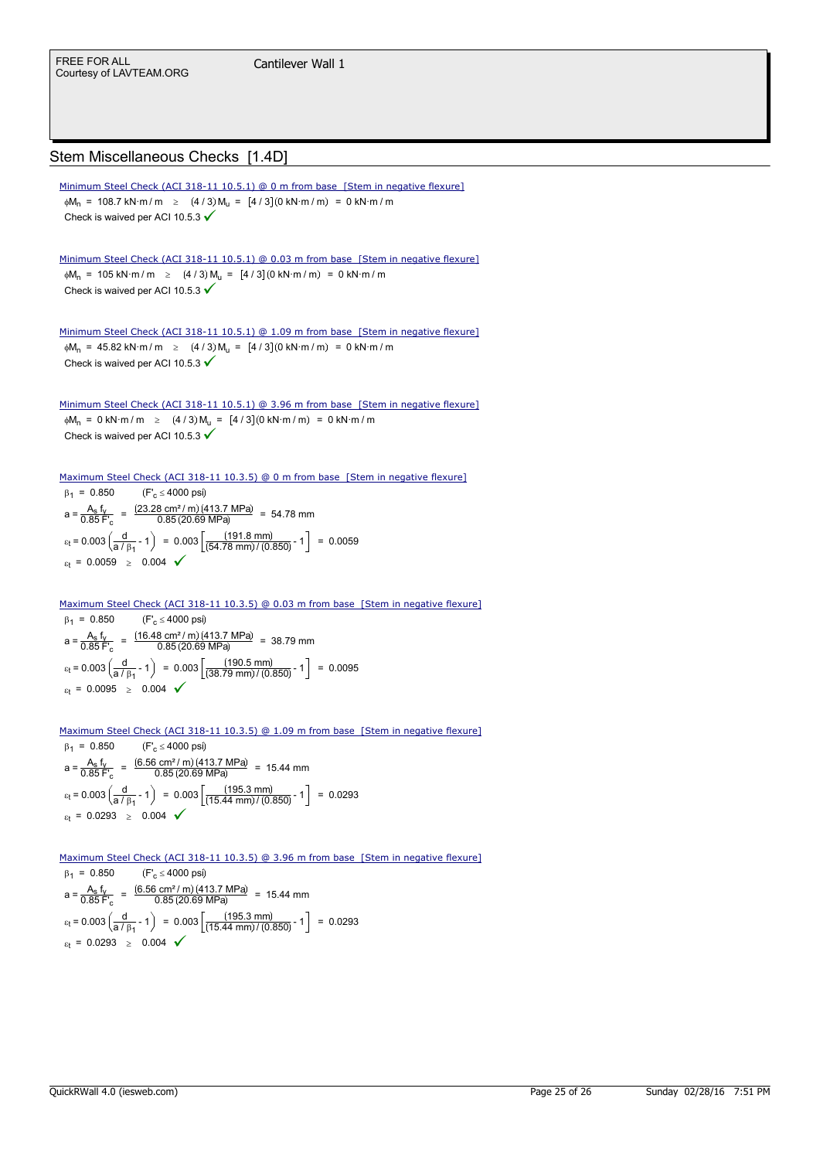## Stem Miscellaneous Checks [1.4D]

 $\phi M_n$  = 108.7 kN·m/m  $\geq$  (4/3)  $M_u = [4/3] (0 \text{ kN·m/m}) = 0 \text{ kN·m/m}$ Check is waived per ACI 10.5.3  $\checkmark$ Minimum Steel Check (ACI 318-11 10.5.1) @ 0 m from base [Stem in negative flexure]  $\phi M_n$  = 105 kN·m/m  $\geq$  (4/3)  $M_u = [4/3] (0 \text{ kN·m/m}) = 0 \text{ kN·m/m}$ Check is waived per ACI 10.5.3  $\checkmark$ Minimum Steel Check (ACI 318-11 10.5.1) @ 0.03 m from base [Stem in negative flexure]  $\phi M_n$  = 45.82 kN·m/m  $\geq$  (4/3)  $M_u = [4/3]$  (0 kN·m/m) = 0 kN·m/m Check is waived per ACI 10.5.3  $\checkmark$ Minimum Steel Check (ACI 318-11 10.5.1) @ 1.09 m from base [Stem in negative flexure]  $\phi M_n = 0$  kN·m/m  $\geq (4/3) M_n = [4/3] (0$  kN·m/m) = 0 kN·m/m Check is waived per ACI 10.5.3 V Minimum Steel Check (ACI 318-11 10.5.1) @ 3.96 m from base [Stem in negative flexure]  $\beta_1 = 0.850$  (F'<sub>c</sub>  $\leq$  4000 psi)  $a = \frac{A_s}{0.95} \frac{f_y}{f}$  $\frac{A_s f_v}{0.85 F_c}$  =  $\frac{(23.28 \text{ cm}^2/\text{m})(413.7 \text{ MPa})}{0.85 (20.69 \text{ MPa})}$  = 54.78 mm  $\varepsilon_t$  = 0.003  $\left(\frac{d}{a / \beta_1}$  ?1  $\right)$  = 0.003  $\left(\frac{(191.8 \text{ mm})}{(54.78 \text{ mm}) / (0.850)}$  ?1  $\right)$  = 0.0059  $\varepsilon_t = 0.0059 \ge 0.004$   $\checkmark$ Maximum Steel Check (ACI 318-11 10.3.5) @ 0 m from base [Stem in negative flexure]

### Maximum Steel Check (ACI 318-11 10.3.5) @ 0.03 m from base [Stem in negative flexure]

 $\beta_1 = 0.850$  (F'<sub>c</sub>  $\leq$  4000 psi)  $a = \frac{A_s}{0.95} \frac{f_y}{f}$  $\frac{A_s \text{ f}_V}{0.85 \text{ F}^{\prime}_{\text{c}}} = \frac{(16.48 \text{ cm}^2/\text{m})(413.7 \text{ MPa})}{0.85 (20.69 \text{ MPa})} = 38.79 \text{ mm}$  $\varepsilon_t$  = 0.003  $\left(\frac{d}{a / \beta_1}$  ?1  $\right)$  = 0.003  $\left[\frac{(190.5 \text{ mm})}{(38.79 \text{ mm}) / (0.850)}$  ?1  $\right]$  = 0.0095  $\varepsilon_t = 0.0095 \ge 0.004$   $\checkmark$ 

Maximum Steel Check (ACI 318-11 10.3.5) @ 1.09 m from base [Stem in negative flexure]

 $\beta_1 = 0.850$  (F'<sub>c</sub>  $\leq$  4000 psi)  $a = \frac{A_s}{0.85} \frac{f_y}{f}$  $A = \frac{A_s f_v}{0.85 F_c} = \frac{(6.56 \text{ cm}^2/\text{m})(413.7 \text{ MPa})}{0.85 (20.69 \text{ MPa})} = 15.44 \text{ mm}$  $\varepsilon_t$  = 0.003  $\left(\frac{d}{a / \beta_1}$  ?1  $\right)$  = 0.003  $\left[\frac{(195.3 \text{ mm})}{(15.44 \text{ mm}) / (0.850)}$  ?1  $\right]$  = 0.0293  $\varepsilon_t = 0.0293 \ge 0.004$   $\checkmark$ 

 $\beta_1 = 0.850$  (F'<sub>c</sub>  $\leq$  4000 psi)  $a = \frac{A_s}{0.95} \frac{f_y}{f}$  $\frac{A_s f_y}{0.85 F_c}$  =  $\frac{(6.56 \text{ cm}^2/\text{m})(413.7 \text{ MPa})}{0.85(20.69 \text{ MPa})}$  = 15.44 mm  $\varepsilon_t$  = 0.003  $\left(\frac{d}{a/\beta_1}$  ?1  $\right)$  = 0.003  $\left[\frac{(195.3 \text{ mm})}{(15.44 \text{ mm})/(0.850)}$  ?1  $\right]$  = 0.0293  $\varepsilon_t = 0.0293 \ge 0.004$   $\checkmark$ Maximum Steel Check (ACI 318-11 10.3.5) @ 3.96 m from base [Stem in negative flexure]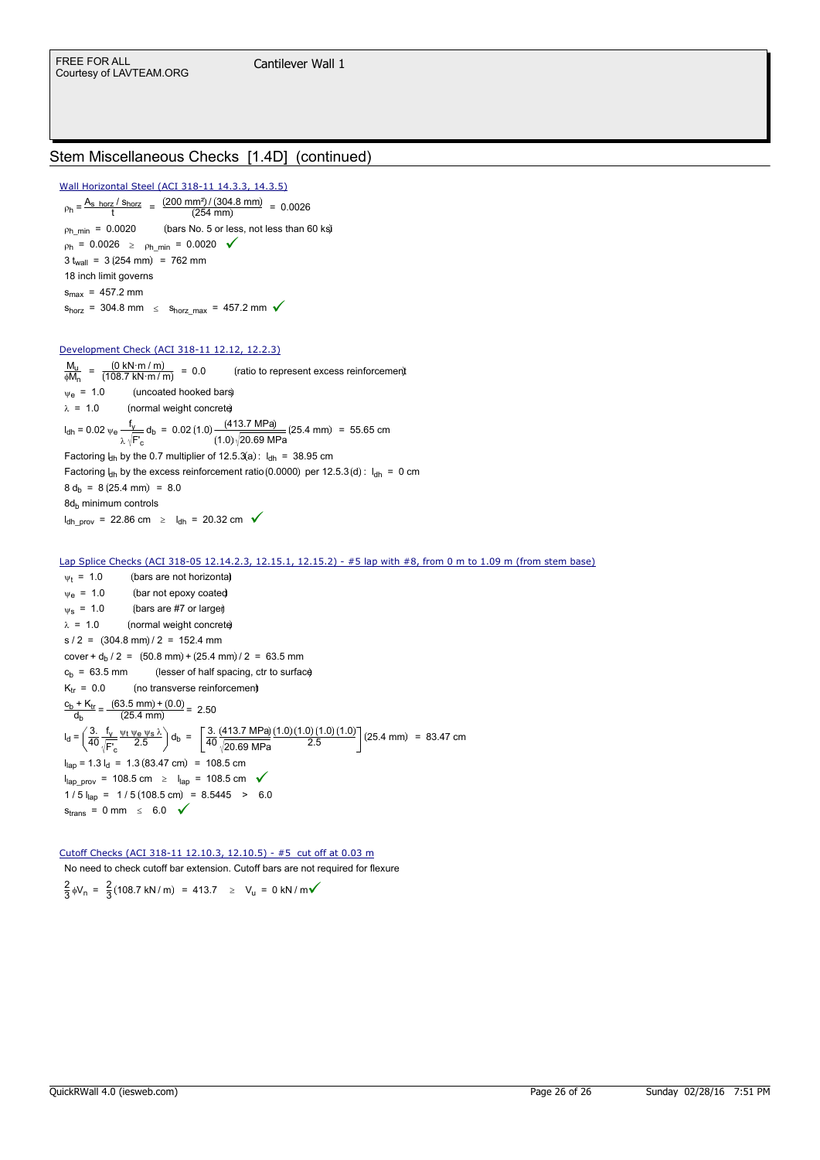## Stem Miscellaneous Checks [1.4D] (continued)

Wall Horizontal Steel (ACI 318-11 14.3.3, 14.3.5)

 $p_h = \frac{A_{s\_horz} / s_{horz}}{t} = \frac{(200 \text{ mm}^2) / (304.8 \text{ mm})}{(254 \text{ mm})} = 0.0026$  $p_{h\_min} = 0.0020$  (bars No. 5 or less, not less than 60 ks)  $p_h = 0.0026 \ge p_h_{min} = 0.0020$  $3 t_{wall} = 3 (254 \text{ mm}) = 762 \text{ mm}$ 18 inch limit governs  $s_{max}$  = 457.2 mm  $s_{horz}$  = 304.8 mm  $\leq s_{horz\_max}$  = 457.2 mm  $\checkmark$ 

### Development Check (ACI 318-11 12.12, 12.2.3)

 $M_u$  $\frac{M_{\rm u}}{\phi M_{\rm n}} = \frac{(0 \text{ kN} \cdot \text{m} / \text{m})}{(108.7 \text{ kN} \cdot \text{m})}$ 108.7 kN·m / m (ratio to represent excess reinforcement  $\Psi_{\rm e}$  = 1.0 (uncoated hooked bars)  $\lambda = 1.0$  (normal weight concrete)  $I_{\text{dh}}$  = 0.02  $\psi_e \frac{f_y}{f}$ =  $0.02 \, v_e \frac{f_V}{\lambda \sqrt{F_c}} d_b$  =  $0.02 (1.0) \frac{(413.7 \, MPa)}{(1.0) \sqrt{20.69 \, MPa}} (25.4 \, mm)$  = 55.65 cm Factoring  $l_{\text{dh}}$  by the 0.7 multiplier of 12.5.3(a):  $l_{\text{dh}} = 38.95$  cm Factoring  $l_{dh}$  by the excess reinforcement ratio (0.0000) per 12.5.3 (d) :  $l_{dh} = 0$  cm  $8 d_h = 8 (25.4 \text{ mm}) = 8.0$ 8d<sub>b</sub> minimum controls  $I_{\text{dh\_prov}}$  = 22.86 cm  $\geq I_{\text{dh}}$  = 20.32 cm  $\checkmark$ 

#### $w_t$  = 1.0 (bars are not horizonta)  $\Psi_{\rm e}$  = 1.0 (bar not epoxy coated  $\psi$ s = 1.0 (bars are #7 or larger)  $\lambda = 1.0$  (normal weight concrete)  $s / 2 = (304.8 \text{ mm}) / 2 = 152.4 \text{ mm}$ cover +  $d_b$  / 2 = (50.8 mm) + (25.4 mm) / 2 = 63.5 mm  $c_b$  = 63.5 mm (lesser of half spacing, ctr to surface  $K_{tr} = 0.0$  (no transverse reinforcement)  $\frac{c_b + K_{tr}}{d_b} = \frac{(63.5 \text{ mm}) + (0.0)}{(25.4 \text{ mm})} = 2.50$ db  $I_d = \frac{3}{4c}$  $rac{3.}{40}$   $rac{f_y}{\sqrt{5}}$ F'<sup>c</sup>  $\frac{\Psi t \Psi e \Psi s \lambda}{2.5} d_b = \frac{3.1}{40}$ 40 413.7 MPa 20.69 MPa  $=\left(\frac{3}{40}\right.\frac{f_y}{f_x} \frac{\psi_1\psi_2\psi_3\lambda}{2.5}\bigg) d_b = \left(\frac{3}{40}\right.\frac{(413.7 MPa)}{(20.60 MPa)}\frac{(1.0)(1.0)(1.0)(1.0)}{2.5}\bigg|(25.4 mm) = 83.47 cm$  $I_{\text{lap}}$  = 1.3  $I_{\text{d}}$  = 1.3 (83.47 cm) = 108.5 cm  $I_{\text{lap}}$  prov = 108.5 cm  $\geq I_{\text{lap}}$  = 108.5 cm  $\checkmark$  $1/5$   $I_{\text{lap}} = 1/5 (108.5 \text{ cm}) = 8.5445 > 6.0$  $s_{trans} = 0$  mm  $\leq 6.0$   $\checkmark$ Lap Splice Checks (ACI 318-05 12.14.2.3, 12.15.1, 12.15.2) - #5 lap with #8, from 0 m to 1.09 m (from stem base)

No need to check cutoff bar extension. Cutoff bars are not required for flexure 2  $\frac{2}{3}$   $\phi$ V<sub>n</sub> =  $\frac{2}{3}$  $=$   $\frac{2}{3}$ (108.7 kN/m) = 413.7  $\geq$  V<sub>u</sub> = 0 kN/m $\checkmark$ Cutoff Checks (ACI 318-11 12.10.3, 12.10.5) - #5 cut off at 0.03 m